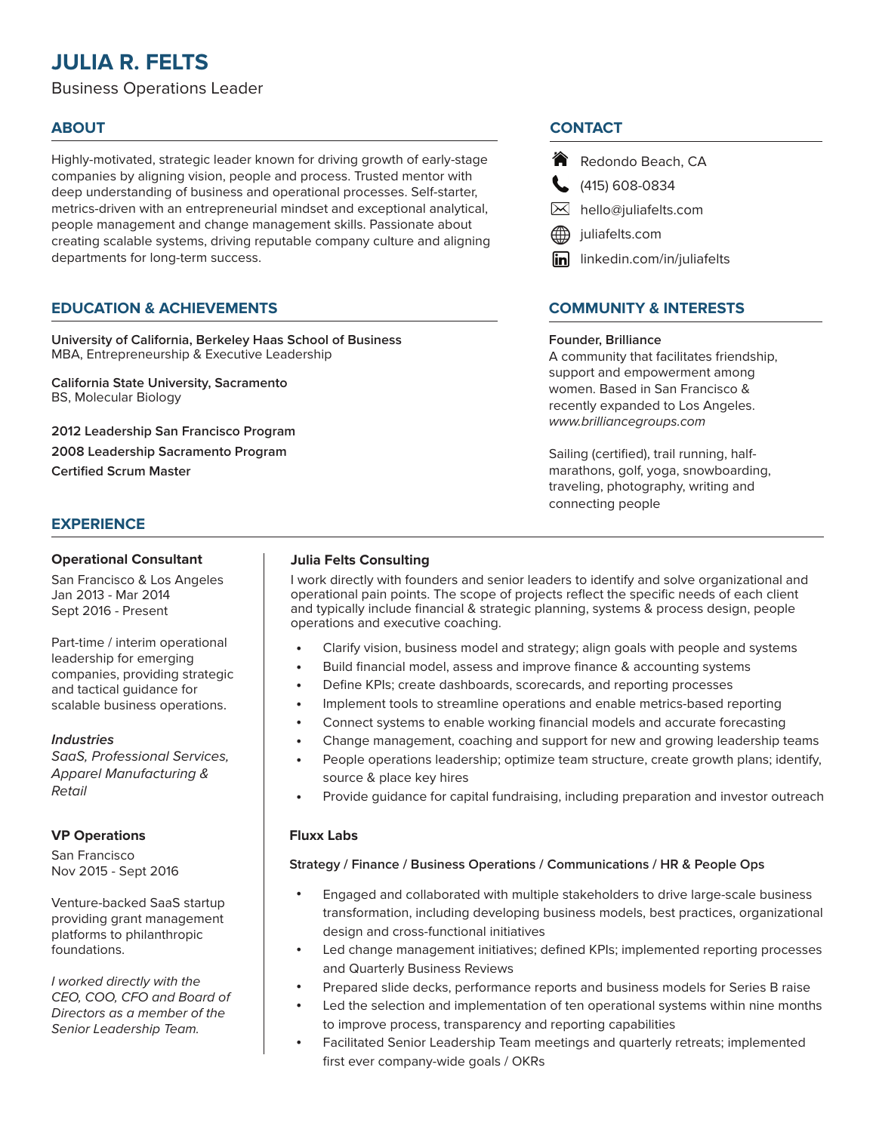# **JULIA R. FELTS**

Business Operations Leader

Highly-motivated, strategic leader known for driving growth of early-stage companies by aligning vision, people and process. Trusted mentor with deep understanding of business and operational processes. Self-starter, metrics-driven with an entrepreneurial mindset and exceptional analytical, people management and change management skills. Passionate about creating scalable systems, driving reputable company culture and aligning departments for long-term success.

## **EDUCATION & ACHIEVEMENTS**

**University of California, Berkeley Haas School of Business** MBA, Entrepreneurship & Executive Leadership

**California State University, Sacramento** BS, Molecular Biology

**2012 Leadership San Francisco Program 2008 Leadership Sacramento Program Certified Scrum Master** 

## **EXPERIENCE**

#### **Operational Consultant**

San Francisco & Los Angeles Jan 2013 - Mar 2014 Sept 2016 - Present

Part-time / interim operational leadership for emerging companies, providing strategic and tactical guidance for scalable business operations.

#### *Industries*

*SaaS, Professional Services, Apparel Manufacturing & Retail*

#### **VP Operations**

San Francisco Nov 2015 - Sept 2016

Venture-backed SaaS startup providing grant management platforms to philanthropic foundations.

*I worked directly with the CEO, COO, CFO and Board of Directors as a member of the Senior Leadership Team.*

#### **Julia Felts Consulting**

I work directly with founders and senior leaders to identify and solve organizational and operational pain points. The scope of projects reflect the specific needs of each client and typically include financial & strategic planning, systems & process design, people operations and executive coaching.

- Clarify vision, business model and strategy; align goals with people and systems •
- Build financial model, assess and improve finance & accounting systems •
- Define KPIs; create dashboards, scorecards, and reporting processes •
- Implement tools to streamline operations and enable metrics-based reporting •
- Connect systems to enable working financial models and accurate forecasting •
- Change management, coaching and support for new and growing leadership teams •
- People operations leadership; optimize team structure, create growth plans; identify, source & place key hires •
- Provide guidance for capital fundraising, including preparation and investor outreach •

#### **Fluxx Labs**

#### **Strategy / Finance / Business Operations / Communications / HR & People Ops**

- Engaged and collaborated with multiple stakeholders to drive large-scale business transformation, including developing business models, best practices, organizational design and cross-functional initiatives •
- Led change management initiatives; defined KPIs; implemented reporting processes and Quarterly Business Reviews •
- Prepared slide decks, performance reports and business models for Series B raise •
- Led the selection and implementation of ten operational systems within nine months to improve process, transparency and reporting capabilities •
- Facilitated Senior Leadership Team meetings and quarterly retreats; implemented first ever company-wide goals / OKRs •

## **ABOUT CONTACT**

- Redondo Beach, CA
- $(415) 608 0834$
- hello@juliafelts.com
- juliafelts.com
- **in** linkedin.com/in/juliafelts

## **COMMUNITY & INTERESTS**

#### **Founder, Brilliance**

A community that facilitates friendship, support and empowerment among women. Based in San Francisco & recently expanded to Los Angeles. *www.brilliancegroups.com*

Sailing (certified), trail running, halfmarathons, golf, yoga, snowboarding, traveling, photography, writing and connecting people